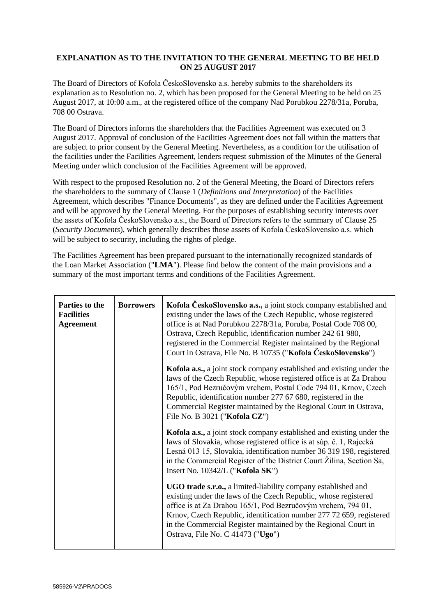### **EXPLANATION AS TO THE INVITATION TO THE GENERAL MEETING TO BE HELD ON 25 AUGUST 2017**

The Board of Directors of Kofola ČeskoSlovensko a.s. hereby submits to the shareholders its explanation as to Resolution no. 2, which has been proposed for the General Meeting to be held on 25 August 2017, at 10:00 a.m., at the registered office of the company Nad Porubkou 2278/31a, Poruba, 708 00 Ostrava.

The Board of Directors informs the shareholders that the Facilities Agreement was executed on 3 August 2017. Approval of conclusion of the Facilities Agreement does not fall within the matters that are subject to prior consent by the General Meeting. Nevertheless, as a condition for the utilisation of the facilities under the Facilities Agreement, lenders request submission of the Minutes of the General Meeting under which conclusion of the Facilities Agreement will be approved.

With respect to the proposed Resolution no. 2 of the General Meeting, the Board of Directors refers the shareholders to the summary of Clause 1 (*Definitions and Interpretation*) of the Facilities Agreement, which describes "Finance Documents", as they are defined under the Facilities Agreement and will be approved by the General Meeting. For the purposes of establishing security interests over the assets of Kofola ČeskoSlovensko a.s., the Board of Directors refers to the summary of Clause 25 (*Security Documents*), which generally describes those assets of Kofola ČeskoSlovensko a.s. which will be subject to security, including the rights of pledge.

The Facilities Agreement has been prepared pursuant to the internationally recognized standards of the Loan Market Association ("**LMA**"). Please find below the content of the main provisions and a summary of the most important terms and conditions of the Facilities Agreement.

| Parties to the<br><b>Facilities</b><br><b>Agreement</b> | <b>Borrowers</b> | Kofola ČeskoSlovensko a.s., a joint stock company established and<br>existing under the laws of the Czech Republic, whose registered<br>office is at Nad Porubkou 2278/31a, Poruba, Postal Code 708 00,<br>Ostrava, Czech Republic, identification number 242 61 980,<br>registered in the Commercial Register maintained by the Regional<br>Court in Ostrava, File No. B 10735 ("Kofola ČeskoSlovensko") |
|---------------------------------------------------------|------------------|-----------------------------------------------------------------------------------------------------------------------------------------------------------------------------------------------------------------------------------------------------------------------------------------------------------------------------------------------------------------------------------------------------------|
|                                                         |                  | Kofola a.s., a joint stock company established and existing under the<br>laws of the Czech Republic, whose registered office is at Za Drahou<br>165/1, Pod Bezručovým vrchem, Postal Code 794 01, Krnov, Czech<br>Republic, identification number 277 67 680, registered in the<br>Commercial Register maintained by the Regional Court in Ostrava,<br>File No. B 3021 ("Kofola CZ")                      |
|                                                         |                  | Kofola a.s., a joint stock company established and existing under the<br>laws of Slovakia, whose registered office is at súp. č. 1, Rajecká<br>Lesná 013 15, Slovakia, identification number 36 319 198, registered<br>in the Commercial Register of the District Court Žilina, Section Sa,<br>Insert No. 10342/L ("Kofola SK")                                                                           |
|                                                         |                  | UGO trade s.r.o., a limited-liability company established and<br>existing under the laws of the Czech Republic, whose registered<br>office is at Za Drahou 165/1, Pod Bezručovým vrchem, 794 01,<br>Krnov, Czech Republic, identification number 277 72 659, registered<br>in the Commercial Register maintained by the Regional Court in<br>Ostrava, File No. C 41473 ("Ugo")                            |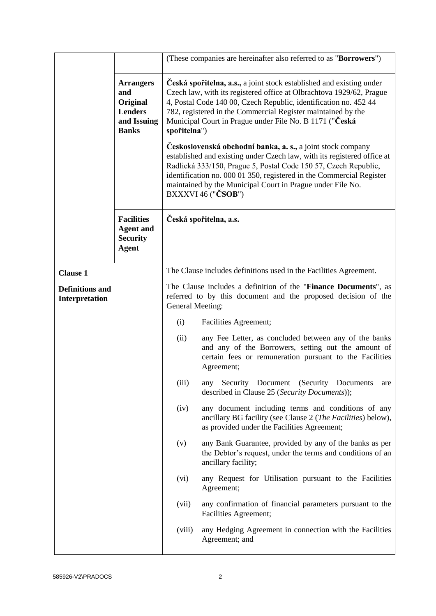|                                          |                                                                                      |                                                                                                                                                                                                                                                                                                                                                                                                                                                                                                                                                                                                                                                                                                                                                    | (These companies are hereinafter also referred to as "Borrowers")                                                                                                                     |  |  |  |
|------------------------------------------|--------------------------------------------------------------------------------------|----------------------------------------------------------------------------------------------------------------------------------------------------------------------------------------------------------------------------------------------------------------------------------------------------------------------------------------------------------------------------------------------------------------------------------------------------------------------------------------------------------------------------------------------------------------------------------------------------------------------------------------------------------------------------------------------------------------------------------------------------|---------------------------------------------------------------------------------------------------------------------------------------------------------------------------------------|--|--|--|
|                                          | <b>Arrangers</b><br>and<br>Original<br><b>Lenders</b><br>and Issuing<br><b>Banks</b> | Česká spořitelna, a.s., a joint stock established and existing under<br>Czech law, with its registered office at Olbrachtova 1929/62, Prague<br>4, Postal Code 140 00, Czech Republic, identification no. 452 44<br>782, registered in the Commercial Register maintained by the<br>Municipal Court in Prague under File No. B 1171 ("Česká<br>spořitelna")<br>Československá obchodní banka, a. s., a joint stock company<br>established and existing under Czech law, with its registered office at<br>Radlická 333/150, Prague 5, Postal Code 150 57, Czech Republic,<br>identification no. 000 01 350, registered in the Commercial Register<br>maintained by the Municipal Court in Prague under File No.<br>$BXXXVI 46$ (" $\check{C}SOB"$ ) |                                                                                                                                                                                       |  |  |  |
|                                          | <b>Facilities</b><br><b>Agent and</b><br><b>Security</b><br><b>Agent</b>             | Česká spořitelna, a.s.                                                                                                                                                                                                                                                                                                                                                                                                                                                                                                                                                                                                                                                                                                                             |                                                                                                                                                                                       |  |  |  |
| <b>Clause 1</b>                          |                                                                                      |                                                                                                                                                                                                                                                                                                                                                                                                                                                                                                                                                                                                                                                                                                                                                    | The Clause includes definitions used in the Facilities Agreement.                                                                                                                     |  |  |  |
| <b>Definitions and</b><br>Interpretation |                                                                                      | The Clause includes a definition of the "Finance Documents", as<br>referred to by this document and the proposed decision of the<br>General Meeting:                                                                                                                                                                                                                                                                                                                                                                                                                                                                                                                                                                                               |                                                                                                                                                                                       |  |  |  |
|                                          |                                                                                      | (i)                                                                                                                                                                                                                                                                                                                                                                                                                                                                                                                                                                                                                                                                                                                                                | Facilities Agreement;                                                                                                                                                                 |  |  |  |
|                                          |                                                                                      | (ii)                                                                                                                                                                                                                                                                                                                                                                                                                                                                                                                                                                                                                                                                                                                                               | any Fee Letter, as concluded between any of the banks<br>and any of the Borrowers, setting out the amount of<br>certain fees or remuneration pursuant to the Facilities<br>Agreement; |  |  |  |
|                                          |                                                                                      | (iii)                                                                                                                                                                                                                                                                                                                                                                                                                                                                                                                                                                                                                                                                                                                                              | any<br>Security Document (Security Documents<br>are<br>described in Clause 25 (Security Documents));                                                                                  |  |  |  |
|                                          |                                                                                      | (iv)                                                                                                                                                                                                                                                                                                                                                                                                                                                                                                                                                                                                                                                                                                                                               | any document including terms and conditions of any<br>ancillary BG facility (see Clause 2 (The Facilities) below),<br>as provided under the Facilities Agreement;                     |  |  |  |
|                                          |                                                                                      | (v)                                                                                                                                                                                                                                                                                                                                                                                                                                                                                                                                                                                                                                                                                                                                                | any Bank Guarantee, provided by any of the banks as per<br>the Debtor's request, under the terms and conditions of an<br>ancillary facility;                                          |  |  |  |
|                                          |                                                                                      | (vi)                                                                                                                                                                                                                                                                                                                                                                                                                                                                                                                                                                                                                                                                                                                                               | any Request for Utilisation pursuant to the Facilities<br>Agreement;                                                                                                                  |  |  |  |
|                                          |                                                                                      | (vii)                                                                                                                                                                                                                                                                                                                                                                                                                                                                                                                                                                                                                                                                                                                                              | any confirmation of financial parameters pursuant to the<br>Facilities Agreement;                                                                                                     |  |  |  |
|                                          |                                                                                      | (viii)                                                                                                                                                                                                                                                                                                                                                                                                                                                                                                                                                                                                                                                                                                                                             | any Hedging Agreement in connection with the Facilities<br>Agreement; and                                                                                                             |  |  |  |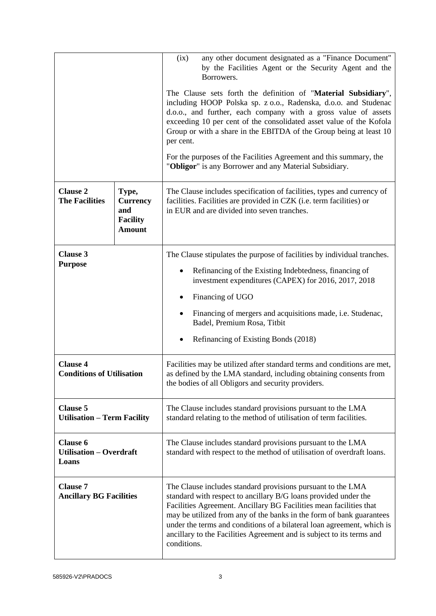|                                                            |                                                                     | any other document designated as a "Finance Document"<br>(ix)<br>by the Facilities Agent or the Security Agent and the<br>Borrowers.                                                                                                                                                                                                                                                                                                           |  |  |
|------------------------------------------------------------|---------------------------------------------------------------------|------------------------------------------------------------------------------------------------------------------------------------------------------------------------------------------------------------------------------------------------------------------------------------------------------------------------------------------------------------------------------------------------------------------------------------------------|--|--|
|                                                            |                                                                     | The Clause sets forth the definition of "Material Subsidiary",<br>including HOOP Polska sp. z o.o., Radenska, d.o.o. and Studenac<br>d.o.o., and further, each company with a gross value of assets<br>exceeding 10 per cent of the consolidated asset value of the Kofola<br>Group or with a share in the EBITDA of the Group being at least 10<br>per cent.                                                                                  |  |  |
|                                                            |                                                                     | For the purposes of the Facilities Agreement and this summary, the<br>"Obligor" is any Borrower and any Material Subsidiary.                                                                                                                                                                                                                                                                                                                   |  |  |
| <b>Clause 2</b><br><b>The Facilities</b>                   | Type,<br><b>Currency</b><br>and<br><b>Facility</b><br><b>Amount</b> | The Clause includes specification of facilities, types and currency of<br>facilities. Facilities are provided in CZK (i.e. term facilities) or<br>in EUR and are divided into seven tranches.                                                                                                                                                                                                                                                  |  |  |
| <b>Clause 3</b>                                            |                                                                     | The Clause stipulates the purpose of facilities by individual tranches.                                                                                                                                                                                                                                                                                                                                                                        |  |  |
| <b>Purpose</b>                                             |                                                                     | Refinancing of the Existing Indebtedness, financing of<br>investment expenditures (CAPEX) for 2016, 2017, 2018                                                                                                                                                                                                                                                                                                                                 |  |  |
|                                                            |                                                                     | Financing of UGO                                                                                                                                                                                                                                                                                                                                                                                                                               |  |  |
|                                                            |                                                                     | Financing of mergers and acquisitions made, i.e. Studenac,<br>Badel, Premium Rosa, Titbit                                                                                                                                                                                                                                                                                                                                                      |  |  |
|                                                            |                                                                     | Refinancing of Existing Bonds (2018)                                                                                                                                                                                                                                                                                                                                                                                                           |  |  |
| <b>Clause 4</b><br><b>Conditions of Utilisation</b>        |                                                                     | Facilities may be utilized after standard terms and conditions are met,<br>as defined by the LMA standard, including obtaining consents from<br>the bodies of all Obligors and security providers.                                                                                                                                                                                                                                             |  |  |
| <b>Clause 5</b><br><b>Utilisation - Term Facility</b>      |                                                                     | The Clause includes standard provisions pursuant to the LMA<br>standard relating to the method of utilisation of term facilities.                                                                                                                                                                                                                                                                                                              |  |  |
| <b>Clause 6</b><br><b>Utilisation – Overdraft</b><br>Loans |                                                                     | The Clause includes standard provisions pursuant to the LMA<br>standard with respect to the method of utilisation of overdraft loans.                                                                                                                                                                                                                                                                                                          |  |  |
| <b>Clause 7</b><br><b>Ancillary BG Facilities</b>          |                                                                     | The Clause includes standard provisions pursuant to the LMA<br>standard with respect to ancillary B/G loans provided under the<br>Facilities Agreement. Ancillary BG Facilities mean facilities that<br>may be utilized from any of the banks in the form of bank guarantees<br>under the terms and conditions of a bilateral loan agreement, which is<br>ancillary to the Facilities Agreement and is subject to its terms and<br>conditions. |  |  |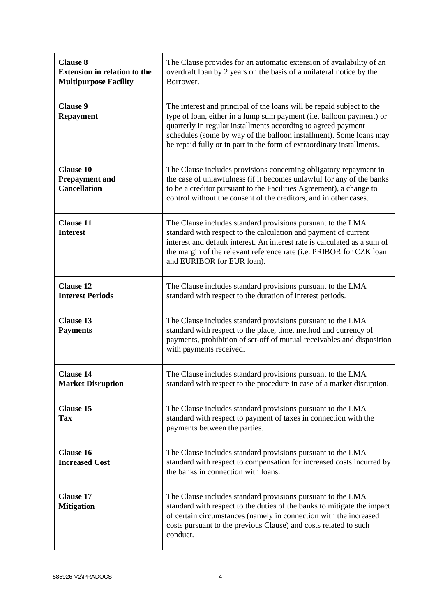| <b>Clause 8</b><br><b>Extension in relation to the</b><br><b>Multipurpose Facility</b> | The Clause provides for an automatic extension of availability of an<br>overdraft loan by 2 years on the basis of a unilateral notice by the<br>Borrower.                                                                                                                                                                                                     |
|----------------------------------------------------------------------------------------|---------------------------------------------------------------------------------------------------------------------------------------------------------------------------------------------------------------------------------------------------------------------------------------------------------------------------------------------------------------|
| <b>Clause 9</b><br><b>Repayment</b>                                                    | The interest and principal of the loans will be repaid subject to the<br>type of loan, either in a lump sum payment (i.e. balloon payment) or<br>quarterly in regular installments according to agreed payment<br>schedules (some by way of the balloon installment). Some loans may<br>be repaid fully or in part in the form of extraordinary installments. |
| <b>Clause 10</b><br><b>Prepayment and</b><br><b>Cancellation</b>                       | The Clause includes provisions concerning obligatory repayment in<br>the case of unlawfulness (if it becomes unlawful for any of the banks<br>to be a creditor pursuant to the Facilities Agreement), a change to<br>control without the consent of the creditors, and in other cases.                                                                        |
| <b>Clause 11</b><br><b>Interest</b>                                                    | The Clause includes standard provisions pursuant to the LMA<br>standard with respect to the calculation and payment of current<br>interest and default interest. An interest rate is calculated as a sum of<br>the margin of the relevant reference rate (i.e. PRIBOR for CZK loan<br>and EURIBOR for EUR loan).                                              |
| <b>Clause 12</b><br><b>Interest Periods</b>                                            | The Clause includes standard provisions pursuant to the LMA<br>standard with respect to the duration of interest periods.                                                                                                                                                                                                                                     |
| <b>Clause 13</b><br><b>Payments</b>                                                    | The Clause includes standard provisions pursuant to the LMA<br>standard with respect to the place, time, method and currency of<br>payments, prohibition of set-off of mutual receivables and disposition<br>with payments received.                                                                                                                          |
| <b>Clause 14</b><br><b>Market Disruption</b>                                           | The Clause includes standard provisions pursuant to the LMA<br>standard with respect to the procedure in case of a market disruption.                                                                                                                                                                                                                         |
| <b>Clause 15</b><br>Tax                                                                | The Clause includes standard provisions pursuant to the LMA<br>standard with respect to payment of taxes in connection with the<br>payments between the parties.                                                                                                                                                                                              |
| <b>Clause 16</b><br><b>Increased Cost</b>                                              | The Clause includes standard provisions pursuant to the LMA<br>standard with respect to compensation for increased costs incurred by<br>the banks in connection with loans.                                                                                                                                                                                   |
| <b>Clause 17</b><br><b>Mitigation</b>                                                  | The Clause includes standard provisions pursuant to the LMA<br>standard with respect to the duties of the banks to mitigate the impact<br>of certain circumstances (namely in connection with the increased<br>costs pursuant to the previous Clause) and costs related to such<br>conduct.                                                                   |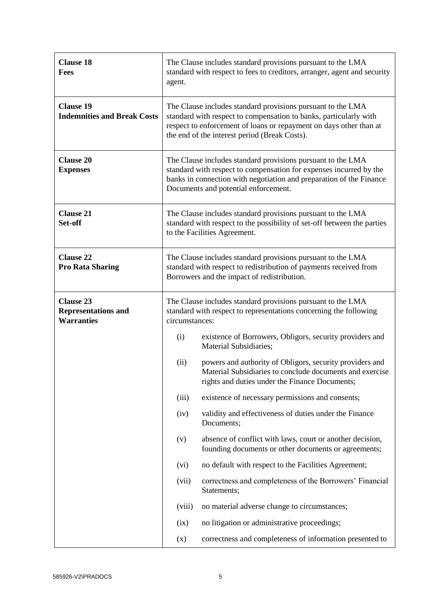| <b>Clause 18</b><br>Fees                                            | The Clause includes standard provisions pursuant to the LMA<br>standard with respect to fees to creditors, arranger, agent and security<br>agent.                                                                                                       |                                                                                                                                                                        |  |  |
|---------------------------------------------------------------------|---------------------------------------------------------------------------------------------------------------------------------------------------------------------------------------------------------------------------------------------------------|------------------------------------------------------------------------------------------------------------------------------------------------------------------------|--|--|
| <b>Clause 19</b><br><b>Indemnities and Break Costs</b>              | The Clause includes standard provisions pursuant to the LMA<br>standard with respect to compensation to banks, particularly with<br>respect to enforcement of loans or repayment on days other than at<br>the end of the interest period (Break Costs). |                                                                                                                                                                        |  |  |
| <b>Clause 20</b><br><b>Expenses</b>                                 | The Clause includes standard provisions pursuant to the LMA<br>standard with respect to compensation for expenses incurred by the<br>banks in connection with negotiation and preparation of the Finance<br>Documents and potential enforcement.        |                                                                                                                                                                        |  |  |
| <b>Clause 21</b><br>Set-off                                         | The Clause includes standard provisions pursuant to the LMA<br>standard with respect to the possibility of set-off between the parties<br>to the Facilities Agreement.                                                                                  |                                                                                                                                                                        |  |  |
| <b>Clause 22</b><br><b>Pro Rata Sharing</b>                         | The Clause includes standard provisions pursuant to the LMA<br>standard with respect to redistribution of payments received from<br>Borrowers and the impact of redistribution.                                                                         |                                                                                                                                                                        |  |  |
| <b>Clause 23</b><br><b>Representations and</b><br><b>Warranties</b> | The Clause includes standard provisions pursuant to the LMA<br>standard with respect to representations concerning the following<br>circumstances:                                                                                                      |                                                                                                                                                                        |  |  |
|                                                                     | (i)                                                                                                                                                                                                                                                     | existence of Borrowers, Obligors, security providers and<br>Material Subsidiaries;                                                                                     |  |  |
|                                                                     | (ii)                                                                                                                                                                                                                                                    | powers and authority of Obligors, security providers and<br>Material Subsidiaries to conclude documents and exercise<br>rights and duties under the Finance Documents; |  |  |
|                                                                     | (iii)                                                                                                                                                                                                                                                   | existence of necessary permissions and consents;                                                                                                                       |  |  |
|                                                                     | (iv)                                                                                                                                                                                                                                                    | validity and effectiveness of duties under the Finance<br>Documents;                                                                                                   |  |  |
|                                                                     | (v)                                                                                                                                                                                                                                                     | absence of conflict with laws, court or another decision,<br>founding documents or other documents or agreements;                                                      |  |  |
|                                                                     | (vi)                                                                                                                                                                                                                                                    | no default with respect to the Facilities Agreement;                                                                                                                   |  |  |
|                                                                     | (vii)                                                                                                                                                                                                                                                   | correctness and completeness of the Borrowers' Financial<br>Statements;                                                                                                |  |  |
|                                                                     | (viii)                                                                                                                                                                                                                                                  | no material adverse change to circumstances;                                                                                                                           |  |  |
|                                                                     | (ix)                                                                                                                                                                                                                                                    | no litigation or administrative proceedings;                                                                                                                           |  |  |
|                                                                     | (x)                                                                                                                                                                                                                                                     | correctness and completeness of information presented to                                                                                                               |  |  |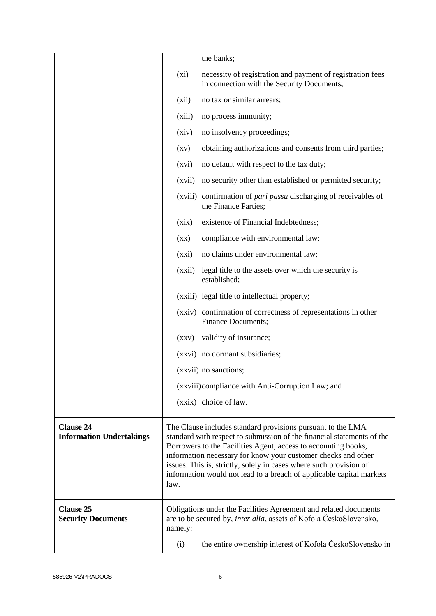|                                                     |                          | the banks;                                                                                                                                                                                                                                                                                                                                                                                                             |
|-----------------------------------------------------|--------------------------|------------------------------------------------------------------------------------------------------------------------------------------------------------------------------------------------------------------------------------------------------------------------------------------------------------------------------------------------------------------------------------------------------------------------|
|                                                     | $(x_i)$                  | necessity of registration and payment of registration fees<br>in connection with the Security Documents;                                                                                                                                                                                                                                                                                                               |
|                                                     | (xii)                    | no tax or similar arrears;                                                                                                                                                                                                                                                                                                                                                                                             |
|                                                     | (xiii)                   | no process immunity;                                                                                                                                                                                                                                                                                                                                                                                                   |
|                                                     | (xiv)                    | no insolvency proceedings;                                                                                                                                                                                                                                                                                                                                                                                             |
|                                                     | $\left( xy\right)$       | obtaining authorizations and consents from third parties;                                                                                                                                                                                                                                                                                                                                                              |
|                                                     | (xvi)                    | no default with respect to the tax duty;                                                                                                                                                                                                                                                                                                                                                                               |
|                                                     | (xvii)                   | no security other than established or permitted security;                                                                                                                                                                                                                                                                                                                                                              |
|                                                     |                          | (xviii) confirmation of <i>pari passu</i> discharging of receivables of<br>the Finance Parties;                                                                                                                                                                                                                                                                                                                        |
|                                                     | (xix)                    | existence of Financial Indebtedness;                                                                                                                                                                                                                                                                                                                                                                                   |
|                                                     | $(\mathbf{X}\mathbf{X})$ | compliance with environmental law;                                                                                                                                                                                                                                                                                                                                                                                     |
|                                                     | (xxi)                    | no claims under environmental law;                                                                                                                                                                                                                                                                                                                                                                                     |
|                                                     | (xxii)                   | legal title to the assets over which the security is<br>established;                                                                                                                                                                                                                                                                                                                                                   |
|                                                     |                          | (xxiii) legal title to intellectual property;                                                                                                                                                                                                                                                                                                                                                                          |
|                                                     |                          | (xxiv) confirmation of correctness of representations in other<br><b>Finance Documents;</b>                                                                                                                                                                                                                                                                                                                            |
|                                                     | (xxy)                    | validity of insurance;                                                                                                                                                                                                                                                                                                                                                                                                 |
|                                                     |                          | (xxvi) no dormant subsidiaries;                                                                                                                                                                                                                                                                                                                                                                                        |
|                                                     |                          | (xxvii) no sanctions;                                                                                                                                                                                                                                                                                                                                                                                                  |
|                                                     |                          | (xxviii) compliance with Anti-Corruption Law; and                                                                                                                                                                                                                                                                                                                                                                      |
|                                                     |                          | (xxix) choice of law.                                                                                                                                                                                                                                                                                                                                                                                                  |
| <b>Clause 24</b><br><b>Information Undertakings</b> | law.                     | The Clause includes standard provisions pursuant to the LMA<br>standard with respect to submission of the financial statements of the<br>Borrowers to the Facilities Agent, access to accounting books,<br>information necessary for know your customer checks and other<br>issues. This is, strictly, solely in cases where such provision of<br>information would not lead to a breach of applicable capital markets |
| <b>Clause 25</b><br><b>Security Documents</b>       | namely:                  | Obligations under the Facilities Agreement and related documents<br>are to be secured by, inter alia, assets of Kofola ČeskoSlovensko,                                                                                                                                                                                                                                                                                 |
|                                                     | (i)                      | the entire ownership interest of Kofola ČeskoSlovensko in                                                                                                                                                                                                                                                                                                                                                              |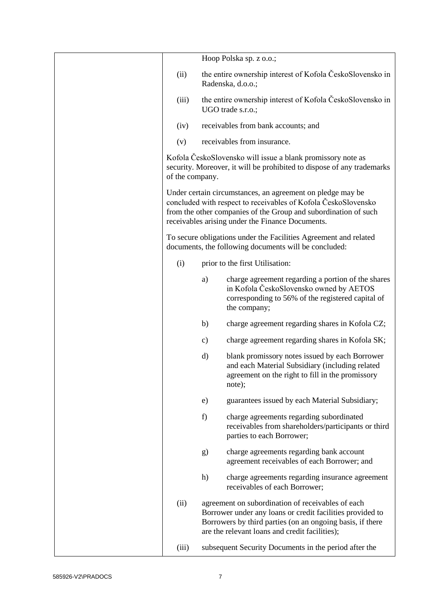|                 |    | Hoop Polska sp. z o.o.;                                                                                                                                                                                                                             |
|-----------------|----|-----------------------------------------------------------------------------------------------------------------------------------------------------------------------------------------------------------------------------------------------------|
| (ii)            |    | the entire ownership interest of Kofola ČeskoSlovensko in<br>Radenska, d.o.o.;                                                                                                                                                                      |
| (iii)           |    | the entire ownership interest of Kofola ČeskoSlovensko in<br>UGO trade s.r.o.;                                                                                                                                                                      |
| (iv)            |    | receivables from bank accounts; and                                                                                                                                                                                                                 |
| (v)             |    | receivables from insurance.                                                                                                                                                                                                                         |
| of the company. |    | Kofola ČeskoSlovensko will issue a blank promissory note as<br>security. Moreover, it will be prohibited to dispose of any trademarks                                                                                                               |
|                 |    | Under certain circumstances, an agreement on pledge may be<br>concluded with respect to receivables of Kofola ČeskoSlovensko<br>from the other companies of the Group and subordination of such<br>receivables arising under the Finance Documents. |
|                 |    | To secure obligations under the Facilities Agreement and related<br>documents, the following documents will be concluded:                                                                                                                           |
| (i)             |    | prior to the first Utilisation:                                                                                                                                                                                                                     |
|                 | a) | charge agreement regarding a portion of the shares<br>in Kofola ČeskoSlovensko owned by AETOS<br>corresponding to 56% of the registered capital of<br>the company;                                                                                  |
|                 | b) | charge agreement regarding shares in Kofola CZ;                                                                                                                                                                                                     |
|                 | c) | charge agreement regarding shares in Kofola SK;                                                                                                                                                                                                     |
|                 | d) | blank promissory notes issued by each Borrower<br>and each Material Subsidiary (including related<br>agreement on the right to fill in the promissory<br>note);                                                                                     |
|                 | e) | guarantees issued by each Material Subsidiary;                                                                                                                                                                                                      |
|                 | f) | charge agreements regarding subordinated<br>receivables from shareholders/participants or third<br>parties to each Borrower;                                                                                                                        |
|                 | g) | charge agreements regarding bank account<br>agreement receivables of each Borrower; and                                                                                                                                                             |
|                 | h) | charge agreements regarding insurance agreement<br>receivables of each Borrower;                                                                                                                                                                    |
| (ii)            |    | agreement on subordination of receivables of each<br>Borrower under any loans or credit facilities provided to<br>Borrowers by third parties (on an ongoing basis, if there<br>are the relevant loans and credit facilities);                       |
| (iii)           |    | subsequent Security Documents in the period after the                                                                                                                                                                                               |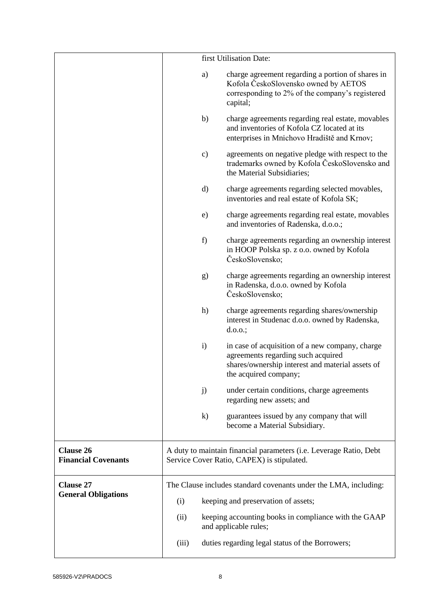|                                                |                                            |              | first Utilisation Date:                                                                                                                                            |  |
|------------------------------------------------|--------------------------------------------|--------------|--------------------------------------------------------------------------------------------------------------------------------------------------------------------|--|
|                                                |                                            | a)           | charge agreement regarding a portion of shares in<br>Kofola ČeskoSlovensko owned by AETOS<br>corresponding to 2% of the company's registered<br>capital;           |  |
|                                                |                                            | b)           | charge agreements regarding real estate, movables<br>and inventories of Kofola CZ located at its<br>enterprises in Mnichovo Hradiště and Krnov;                    |  |
|                                                |                                            | c)           | agreements on negative pledge with respect to the<br>trademarks owned by Kofola ČeskoSlovensko and<br>the Material Subsidiaries;                                   |  |
|                                                |                                            | d)           | charge agreements regarding selected movables,<br>inventories and real estate of Kofola SK;                                                                        |  |
|                                                |                                            | e)           | charge agreements regarding real estate, movables<br>and inventories of Radenska, d.o.o.;                                                                          |  |
|                                                |                                            | f)           | charge agreements regarding an ownership interest<br>in HOOP Polska sp. z o.o. owned by Kofola<br>ČeskoSlovensko;                                                  |  |
|                                                |                                            | g)           | charge agreements regarding an ownership interest<br>in Radenska, d.o.o. owned by Kofola<br>ČeskoSlovensko;                                                        |  |
|                                                |                                            | h)           | charge agreements regarding shares/ownership<br>interest in Studenac d.o.o. owned by Radenska,<br>$d.0.0$ .;                                                       |  |
|                                                |                                            | $\mathbf{i}$ | in case of acquisition of a new company, charge<br>agreements regarding such acquired<br>shares/ownership interest and material assets of<br>the acquired company; |  |
|                                                |                                            | j)           | under certain conditions, charge agreements<br>regarding new assets; and                                                                                           |  |
|                                                |                                            | $\bf k)$     | guarantees issued by any company that will<br>become a Material Subsidiary.                                                                                        |  |
| <b>Clause 26</b><br><b>Financial Covenants</b> |                                            |              | A duty to maintain financial parameters (i.e. Leverage Ratio, Debt<br>Service Cover Ratio, CAPEX) is stipulated.                                                   |  |
| <b>Clause 27</b>                               |                                            |              | The Clause includes standard covenants under the LMA, including:                                                                                                   |  |
| <b>General Obligations</b>                     | keeping and preservation of assets;<br>(i) |              |                                                                                                                                                                    |  |
|                                                | (ii)                                       |              | keeping accounting books in compliance with the GAAP<br>and applicable rules;                                                                                      |  |
|                                                | (iii)                                      |              | duties regarding legal status of the Borrowers;                                                                                                                    |  |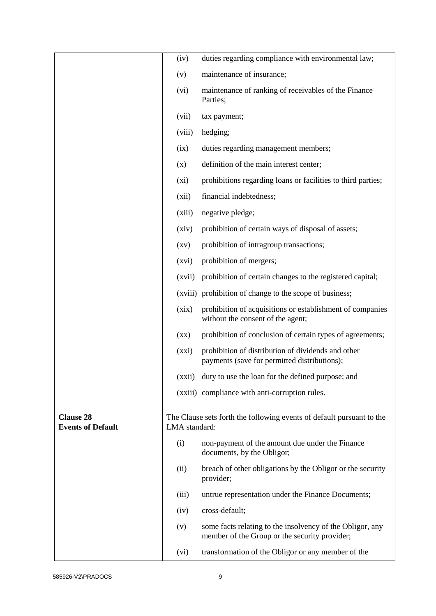|                                              | (iv)                     | duties regarding compliance with environmental law;                                                        |
|----------------------------------------------|--------------------------|------------------------------------------------------------------------------------------------------------|
|                                              | (v)                      | maintenance of insurance;                                                                                  |
|                                              | (vi)                     | maintenance of ranking of receivables of the Finance<br>Parties;                                           |
|                                              | (vii)                    | tax payment;                                                                                               |
|                                              | (viii)                   | hedging;                                                                                                   |
|                                              | (ix)                     | duties regarding management members;                                                                       |
|                                              | (x)                      | definition of the main interest center;                                                                    |
|                                              | $(x_i)$                  | prohibitions regarding loans or facilities to third parties;                                               |
|                                              | (xii)                    | financial indebtedness;                                                                                    |
|                                              | (xiii)                   | negative pledge;                                                                                           |
|                                              | (xiv)                    | prohibition of certain ways of disposal of assets;                                                         |
|                                              | $\left( xy\right)$       | prohibition of intragroup transactions;                                                                    |
|                                              | (xvi)                    | prohibition of mergers;                                                                                    |
|                                              | (xvii)                   | prohibition of certain changes to the registered capital;                                                  |
|                                              |                          | (xviii) prohibition of change to the scope of business;                                                    |
|                                              | (xix)                    | prohibition of acquisitions or establishment of companies<br>without the consent of the agent;             |
|                                              | $(\mathbf{X}\mathbf{X})$ | prohibition of conclusion of certain types of agreements;                                                  |
|                                              | (xxi)                    | prohibition of distribution of dividends and other<br>payments (save for permitted distributions);         |
|                                              |                          | (xxii) duty to use the loan for the defined purpose; and                                                   |
|                                              |                          | (xxiii) compliance with anti-corruption rules.                                                             |
| <b>Clause 28</b><br><b>Events of Default</b> | LMA standard:            | The Clause sets forth the following events of default pursuant to the                                      |
|                                              | (i)                      | non-payment of the amount due under the Finance<br>documents, by the Obligor;                              |
|                                              | (ii)                     | breach of other obligations by the Obligor or the security<br>provider;                                    |
|                                              | (iii)                    | untrue representation under the Finance Documents;                                                         |
|                                              | (iv)                     | cross-default;                                                                                             |
|                                              | (v)                      | some facts relating to the insolvency of the Obligor, any<br>member of the Group or the security provider; |
|                                              | (vi)                     | transformation of the Obligor or any member of the                                                         |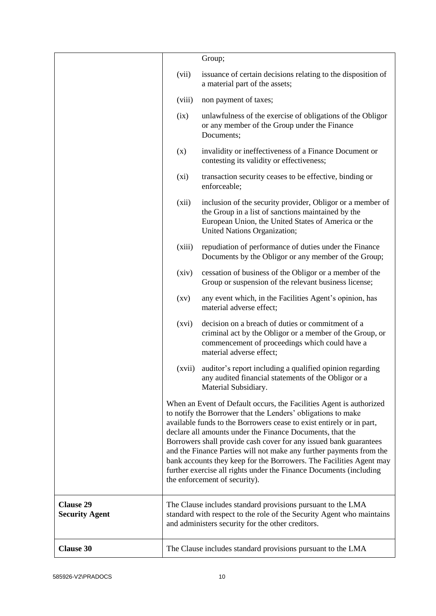|                                           |                    | Group;                                                                                                                                                                                                                                                                                                                                                                                                                                                                                                                                                                                             |
|-------------------------------------------|--------------------|----------------------------------------------------------------------------------------------------------------------------------------------------------------------------------------------------------------------------------------------------------------------------------------------------------------------------------------------------------------------------------------------------------------------------------------------------------------------------------------------------------------------------------------------------------------------------------------------------|
|                                           | (vii)              | issuance of certain decisions relating to the disposition of<br>a material part of the assets;                                                                                                                                                                                                                                                                                                                                                                                                                                                                                                     |
|                                           | (viii)             | non payment of taxes;                                                                                                                                                                                                                                                                                                                                                                                                                                                                                                                                                                              |
|                                           | (ix)               | unlawfulness of the exercise of obligations of the Obligor<br>or any member of the Group under the Finance<br>Documents;                                                                                                                                                                                                                                                                                                                                                                                                                                                                           |
|                                           | (x)                | invalidity or ineffectiveness of a Finance Document or<br>contesting its validity or effectiveness;                                                                                                                                                                                                                                                                                                                                                                                                                                                                                                |
|                                           | $(x_i)$            | transaction security ceases to be effective, binding or<br>enforceable;                                                                                                                                                                                                                                                                                                                                                                                                                                                                                                                            |
|                                           | (xii)              | inclusion of the security provider, Obligor or a member of<br>the Group in a list of sanctions maintained by the<br>European Union, the United States of America or the<br>United Nations Organization;                                                                                                                                                                                                                                                                                                                                                                                            |
|                                           | (xiii)             | repudiation of performance of duties under the Finance<br>Documents by the Obligor or any member of the Group;                                                                                                                                                                                                                                                                                                                                                                                                                                                                                     |
|                                           | (xiv)              | cessation of business of the Obligor or a member of the<br>Group or suspension of the relevant business license;                                                                                                                                                                                                                                                                                                                                                                                                                                                                                   |
|                                           | $\left( xy\right)$ | any event which, in the Facilities Agent's opinion, has<br>material adverse effect;                                                                                                                                                                                                                                                                                                                                                                                                                                                                                                                |
|                                           | (xvi)              | decision on a breach of duties or commitment of a<br>criminal act by the Obligor or a member of the Group, or<br>commencement of proceedings which could have a<br>material adverse effect;                                                                                                                                                                                                                                                                                                                                                                                                        |
|                                           | (xvii)             | auditor's report including a qualified opinion regarding<br>any audited financial statements of the Obligor or a<br>Material Subsidiary.                                                                                                                                                                                                                                                                                                                                                                                                                                                           |
|                                           |                    | When an Event of Default occurs, the Facilities Agent is authorized<br>to notify the Borrower that the Lenders' obligations to make<br>available funds to the Borrowers cease to exist entirely or in part,<br>declare all amounts under the Finance Documents, that the<br>Borrowers shall provide cash cover for any issued bank guarantees<br>and the Finance Parties will not make any further payments from the<br>bank accounts they keep for the Borrowers. The Facilities Agent may<br>further exercise all rights under the Finance Documents (including<br>the enforcement of security). |
| <b>Clause 29</b><br><b>Security Agent</b> |                    | The Clause includes standard provisions pursuant to the LMA<br>standard with respect to the role of the Security Agent who maintains<br>and administers security for the other creditors.                                                                                                                                                                                                                                                                                                                                                                                                          |
| <b>Clause 30</b>                          |                    | The Clause includes standard provisions pursuant to the LMA                                                                                                                                                                                                                                                                                                                                                                                                                                                                                                                                        |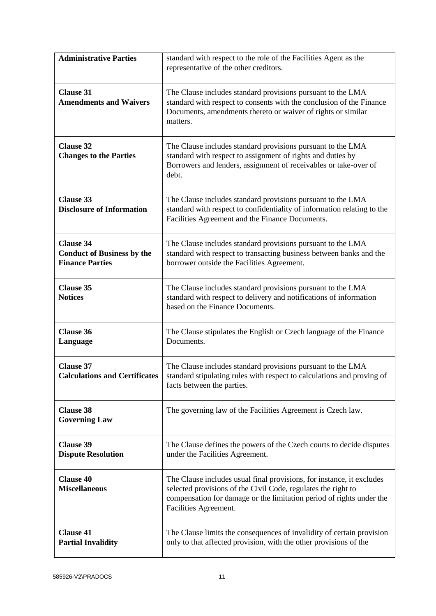| <b>Administrative Parties</b>                                                   | standard with respect to the role of the Facilities Agent as the<br>representative of the other creditors.                                                                                                                              |
|---------------------------------------------------------------------------------|-----------------------------------------------------------------------------------------------------------------------------------------------------------------------------------------------------------------------------------------|
| <b>Clause 31</b><br><b>Amendments and Waivers</b>                               | The Clause includes standard provisions pursuant to the LMA<br>standard with respect to consents with the conclusion of the Finance<br>Documents, amendments thereto or waiver of rights or similar<br>matters.                         |
| <b>Clause 32</b><br><b>Changes to the Parties</b>                               | The Clause includes standard provisions pursuant to the LMA<br>standard with respect to assignment of rights and duties by<br>Borrowers and lenders, assignment of receivables or take-over of<br>debt.                                 |
| <b>Clause 33</b><br><b>Disclosure of Information</b>                            | The Clause includes standard provisions pursuant to the LMA<br>standard with respect to confidentiality of information relating to the<br>Facilities Agreement and the Finance Documents.                                               |
| <b>Clause 34</b><br><b>Conduct of Business by the</b><br><b>Finance Parties</b> | The Clause includes standard provisions pursuant to the LMA<br>standard with respect to transacting business between banks and the<br>borrower outside the Facilities Agreement.                                                        |
| <b>Clause 35</b><br><b>Notices</b>                                              | The Clause includes standard provisions pursuant to the LMA<br>standard with respect to delivery and notifications of information<br>based on the Finance Documents.                                                                    |
| <b>Clause 36</b><br>Language                                                    | The Clause stipulates the English or Czech language of the Finance<br>Documents.                                                                                                                                                        |
| <b>Clause 37</b><br><b>Calculations and Certificates</b>                        | The Clause includes standard provisions pursuant to the LMA<br>standard stipulating rules with respect to calculations and proving of<br>facts between the parties.                                                                     |
| <b>Clause 38</b><br><b>Governing Law</b>                                        | The governing law of the Facilities Agreement is Czech law.                                                                                                                                                                             |
| <b>Clause 39</b><br><b>Dispute Resolution</b>                                   | The Clause defines the powers of the Czech courts to decide disputes<br>under the Facilities Agreement.                                                                                                                                 |
| <b>Clause 40</b><br><b>Miscellaneous</b>                                        | The Clause includes usual final provisions, for instance, it excludes<br>selected provisions of the Civil Code, regulates the right to<br>compensation for damage or the limitation period of rights under the<br>Facilities Agreement. |
| <b>Clause 41</b><br><b>Partial Invalidity</b>                                   | The Clause limits the consequences of invalidity of certain provision<br>only to that affected provision, with the other provisions of the                                                                                              |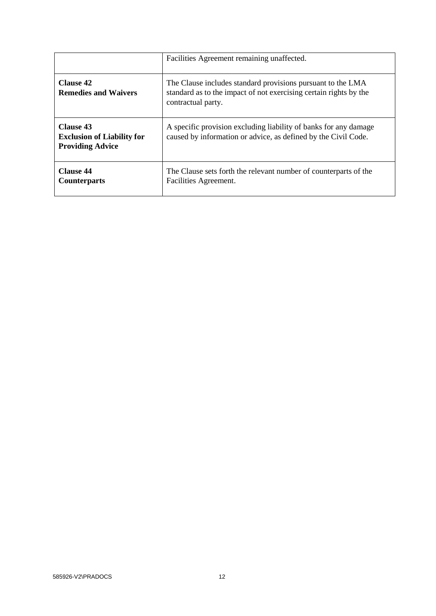|                                                                                  | Facilities Agreement remaining unaffected.                                                                                                             |
|----------------------------------------------------------------------------------|--------------------------------------------------------------------------------------------------------------------------------------------------------|
| <b>Clause 42</b><br><b>Remedies and Waivers</b>                                  | The Clause includes standard provisions pursuant to the LMA<br>standard as to the impact of not exercising certain rights by the<br>contractual party. |
| <b>Clause 43</b><br><b>Exclusion of Liability for</b><br><b>Providing Advice</b> | A specific provision excluding liability of banks for any damage<br>caused by information or advice, as defined by the Civil Code.                     |
| <b>Clause 44</b><br><b>Counterparts</b>                                          | The Clause sets forth the relevant number of counterparts of the<br>Facilities Agreement.                                                              |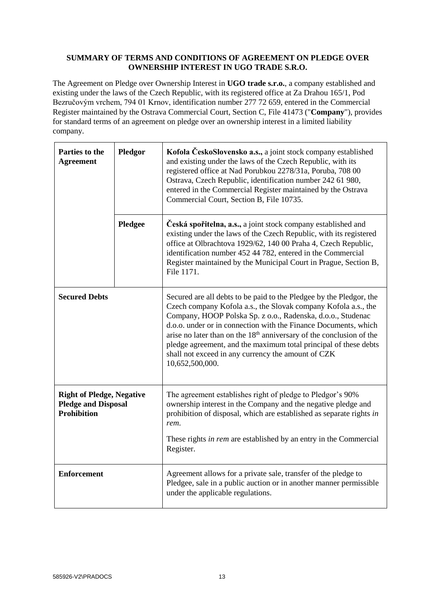### **SUMMARY OF TERMS AND CONDITIONS OF AGREEMENT ON PLEDGE OVER OWNERSHIP INTEREST IN UGO TRADE S.R.O.**

The Agreement on Pledge over Ownership Interest in **UGO trade s.r.o.**, a company established and existing under the laws of the Czech Republic, with its registered office at Za Drahou 165/1, Pod Bezručovým vrchem, 794 01 Krnov, identification number 277 72 659, entered in the Commercial Register maintained by the Ostrava Commercial Court, Section C, File 41473 ("**Company**"), provides for standard terms of an agreement on pledge over an ownership interest in a limited liability company.

| Parties to the<br><b>Agreement</b>                                                   | Pledgor | Kofola ČeskoSlovensko a.s., a joint stock company established<br>and existing under the laws of the Czech Republic, with its<br>registered office at Nad Porubkou 2278/31a, Poruba, 708 00<br>Ostrava, Czech Republic, identification number 242 61 980,<br>entered in the Commercial Register maintained by the Ostrava<br>Commercial Court, Section B, File 10735.                                                                                                                                     |
|--------------------------------------------------------------------------------------|---------|----------------------------------------------------------------------------------------------------------------------------------------------------------------------------------------------------------------------------------------------------------------------------------------------------------------------------------------------------------------------------------------------------------------------------------------------------------------------------------------------------------|
|                                                                                      | Pledgee | Česká spořitelna, a.s., a joint stock company established and<br>existing under the laws of the Czech Republic, with its registered<br>office at Olbrachtova 1929/62, 140 00 Praha 4, Czech Republic,<br>identification number 452 44 782, entered in the Commercial<br>Register maintained by the Municipal Court in Prague, Section B,<br>File 1171.                                                                                                                                                   |
| <b>Secured Debts</b>                                                                 |         | Secured are all debts to be paid to the Pledgee by the Pledgor, the<br>Czech company Kofola a.s., the Slovak company Kofola a.s., the<br>Company, HOOP Polska Sp. z o.o., Radenska, d.o.o., Studenac<br>d.o.o. under or in connection with the Finance Documents, which<br>arise no later than on the 18 <sup>th</sup> anniversary of the conclusion of the<br>pledge agreement, and the maximum total principal of these debts<br>shall not exceed in any currency the amount of CZK<br>10,652,500,000. |
| <b>Right of Pledge, Negative</b><br><b>Pledge and Disposal</b><br><b>Prohibition</b> |         | The agreement establishes right of pledge to Pledgor's 90%<br>ownership interest in the Company and the negative pledge and<br>prohibition of disposal, which are established as separate rights in<br>rem.                                                                                                                                                                                                                                                                                              |
|                                                                                      |         | These rights in rem are established by an entry in the Commercial<br>Register.                                                                                                                                                                                                                                                                                                                                                                                                                           |
| <b>Enforcement</b>                                                                   |         | Agreement allows for a private sale, transfer of the pledge to<br>Pledgee, sale in a public auction or in another manner permissible<br>under the applicable regulations.                                                                                                                                                                                                                                                                                                                                |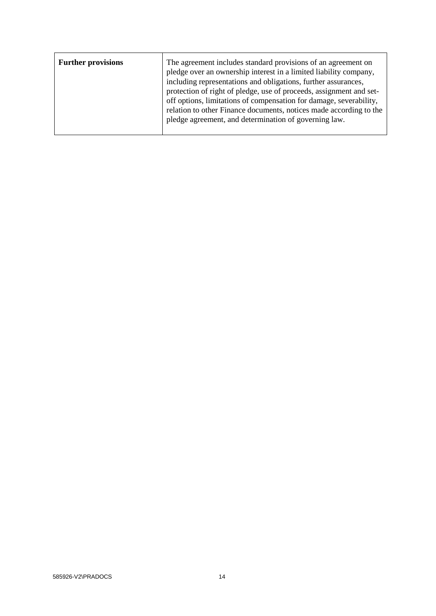| <b>Further provisions</b> | The agreement includes standard provisions of an agreement on<br>pledge over an ownership interest in a limited liability company,<br>including representations and obligations, further assurances,            |
|---------------------------|-----------------------------------------------------------------------------------------------------------------------------------------------------------------------------------------------------------------|
|                           | protection of right of pledge, use of proceeds, assignment and set-<br>off options, limitations of compensation for damage, severability,<br>relation to other Finance documents, notices made according to the |
|                           | pledge agreement, and determination of governing law.                                                                                                                                                           |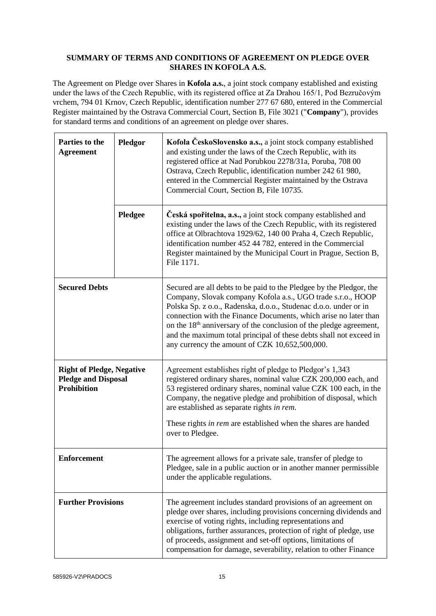# **SUMMARY OF TERMS AND CONDITIONS OF AGREEMENT ON PLEDGE OVER SHARES IN KOFOLA A.S.**

The Agreement on Pledge over Shares in **Kofola a.s.**, a joint stock company established and existing under the laws of the Czech Republic, with its registered office at Za Drahou 165/1, Pod Bezručovým vrchem, 794 01 Krnov, Czech Republic, identification number 277 67 680, entered in the Commercial Register maintained by the Ostrava Commercial Court, Section B, File 3021 ("**Company**"), provides for standard terms and conditions of an agreement on pledge over shares.

| Parties to the<br><b>Agreement</b>                                                   | Pledgor | Kofola ČeskoSlovensko a.s., a joint stock company established<br>and existing under the laws of the Czech Republic, with its<br>registered office at Nad Porubkou 2278/31a, Poruba, 708 00<br>Ostrava, Czech Republic, identification number 242 61 980,<br>entered in the Commercial Register maintained by the Ostrava<br>Commercial Court, Section B, File 10735.                                                                                                                 |
|--------------------------------------------------------------------------------------|---------|--------------------------------------------------------------------------------------------------------------------------------------------------------------------------------------------------------------------------------------------------------------------------------------------------------------------------------------------------------------------------------------------------------------------------------------------------------------------------------------|
|                                                                                      | Pledgee | Česká spořitelna, a.s., a joint stock company established and<br>existing under the laws of the Czech Republic, with its registered<br>office at Olbrachtova 1929/62, 140 00 Praha 4, Czech Republic,<br>identification number 452 44 782, entered in the Commercial<br>Register maintained by the Municipal Court in Prague, Section B,<br>File 1171.                                                                                                                               |
| <b>Secured Debts</b>                                                                 |         | Secured are all debts to be paid to the Pledgee by the Pledgor, the<br>Company, Slovak company Kofola a.s., UGO trade s.r.o., HOOP<br>Polska Sp. z o.o., Radenska, d.o.o., Studenac d.o.o. under or in<br>connection with the Finance Documents, which arise no later than<br>on the 18 <sup>th</sup> anniversary of the conclusion of the pledge agreement,<br>and the maximum total principal of these debts shall not exceed in<br>any currency the amount of CZK 10,652,500,000. |
| <b>Right of Pledge, Negative</b><br><b>Pledge and Disposal</b><br><b>Prohibition</b> |         | Agreement establishes right of pledge to Pledgor's 1,343<br>registered ordinary shares, nominal value CZK 200,000 each, and<br>53 registered ordinary shares, nominal value CZK 100 each, in the<br>Company, the negative pledge and prohibition of disposal, which<br>are established as separate rights in rem.<br>These rights in rem are established when the shares are handed<br>over to Pledgee.                                                                              |
| <b>Enforcement</b>                                                                   |         | The agreement allows for a private sale, transfer of pledge to<br>Pledgee, sale in a public auction or in another manner permissible<br>under the applicable regulations.                                                                                                                                                                                                                                                                                                            |
| <b>Further Provisions</b>                                                            |         | The agreement includes standard provisions of an agreement on<br>pledge over shares, including provisions concerning dividends and<br>exercise of voting rights, including representations and<br>obligations, further assurances, protection of right of pledge, use<br>of proceeds, assignment and set-off options, limitations of<br>compensation for damage, severability, relation to other Finance                                                                             |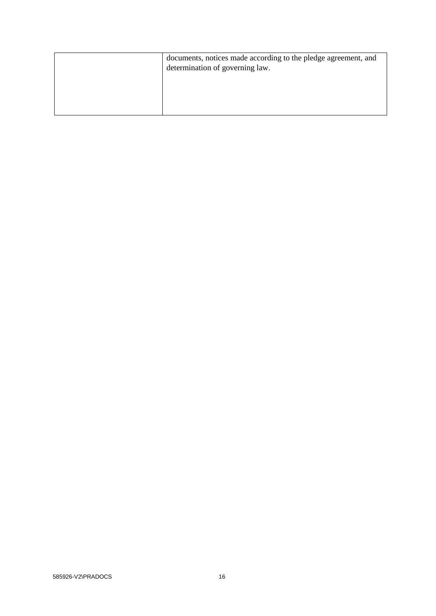| documents, notices made according to the pledge agreement, and<br>determination of governing law. |
|---------------------------------------------------------------------------------------------------|
|                                                                                                   |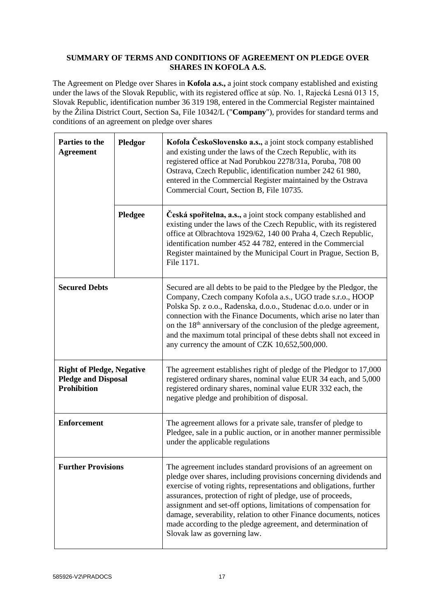### **SUMMARY OF TERMS AND CONDITIONS OF AGREEMENT ON PLEDGE OVER SHARES IN KOFOLA A.S.**

The Agreement on Pledge over Shares in **Kofola a.s.,** a joint stock company established and existing under the laws of the Slovak Republic, with its registered office at súp. No. 1, Rajecká Lesná 013 15, Slovak Republic, identification number 36 319 198, entered in the Commercial Register maintained by the Žilina District Court, Section Sa, File 10342/L ("**Company**"), provides for standard terms and conditions of an agreement on pledge over shares

| Parties to the<br><b>Agreement</b>                                                   | Pledgor | Kofola ČeskoSlovensko a.s., a joint stock company established<br>and existing under the laws of the Czech Republic, with its<br>registered office at Nad Porubkou 2278/31a, Poruba, 708 00<br>Ostrava, Czech Republic, identification number 242 61 980,<br>entered in the Commercial Register maintained by the Ostrava<br>Commercial Court, Section B, File 10735.                                                                                                                                              |
|--------------------------------------------------------------------------------------|---------|-------------------------------------------------------------------------------------------------------------------------------------------------------------------------------------------------------------------------------------------------------------------------------------------------------------------------------------------------------------------------------------------------------------------------------------------------------------------------------------------------------------------|
|                                                                                      | Pledgee | Česká spořitelna, a.s., a joint stock company established and<br>existing under the laws of the Czech Republic, with its registered<br>office at Olbrachtova 1929/62, 140 00 Praha 4, Czech Republic,<br>identification number 452 44 782, entered in the Commercial<br>Register maintained by the Municipal Court in Prague, Section B,<br>File 1171.                                                                                                                                                            |
| <b>Secured Debts</b>                                                                 |         | Secured are all debts to be paid to the Pledgee by the Pledgor, the<br>Company, Czech company Kofola a.s., UGO trade s.r.o., HOOP<br>Polska Sp. z o.o., Radenska, d.o.o., Studenac d.o.o. under or in<br>connection with the Finance Documents, which arise no later than<br>on the 18 <sup>th</sup> anniversary of the conclusion of the pledge agreement,<br>and the maximum total principal of these debts shall not exceed in<br>any currency the amount of CZK 10,652,500,000.                               |
| <b>Right of Pledge, Negative</b><br><b>Pledge and Disposal</b><br><b>Prohibition</b> |         | The agreement establishes right of pledge of the Pledgor to 17,000<br>registered ordinary shares, nominal value EUR 34 each, and 5,000<br>registered ordinary shares, nominal value EUR 332 each, the<br>negative pledge and prohibition of disposal.                                                                                                                                                                                                                                                             |
| <b>Enforcement</b>                                                                   |         | The agreement allows for a private sale, transfer of pledge to<br>Pledgee, sale in a public auction, or in another manner permissible<br>under the applicable regulations                                                                                                                                                                                                                                                                                                                                         |
| <b>Further Provisions</b>                                                            |         | The agreement includes standard provisions of an agreement on<br>pledge over shares, including provisions concerning dividends and<br>exercise of voting rights, representations and obligations, further<br>assurances, protection of right of pledge, use of proceeds,<br>assignment and set-off options, limitations of compensation for<br>damage, severability, relation to other Finance documents, notices<br>made according to the pledge agreement, and determination of<br>Slovak law as governing law. |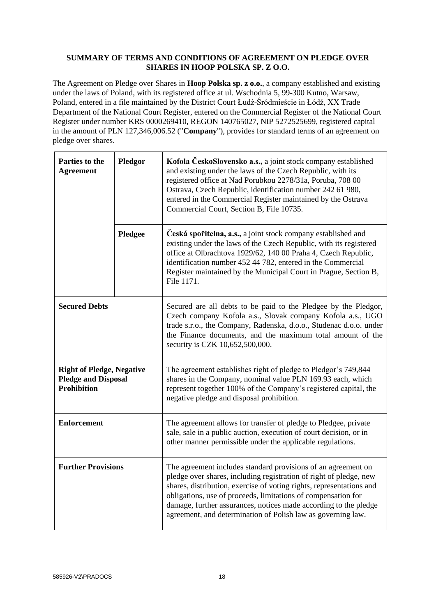#### **SUMMARY OF TERMS AND CONDITIONS OF AGREEMENT ON PLEDGE OVER SHARES IN HOOP POLSKA SP. Z O.O.**

The Agreement on Pledge over Shares in **Hoop Polska sp. z o.o.**, a company established and existing under the laws of Poland, with its registered office at ul. Wschodnia 5, 99-300 Kutno, Warsaw, Poland, entered in a file maintained by the District Court Łudź-Śródmieście in Łódź, XX Trade Department of the National Court Register, entered on the Commercial Register of the National Court Register under number KRS 0000269410, REGON 140765027, NIP 5272525699, registered capital in the amount of PLN 127,346,006.52 ("**Company**"), provides for standard terms of an agreement on pledge over shares.

| Parties to the<br><b>Agreement</b>                                                   | Pledgor | Kofola ČeskoSlovensko a.s., a joint stock company established<br>and existing under the laws of the Czech Republic, with its<br>registered office at Nad Porubkou 2278/31a, Poruba, 708 00<br>Ostrava, Czech Republic, identification number 242 61 980,<br>entered in the Commercial Register maintained by the Ostrava<br>Commercial Court, Section B, File 10735.                                             |
|--------------------------------------------------------------------------------------|---------|------------------------------------------------------------------------------------------------------------------------------------------------------------------------------------------------------------------------------------------------------------------------------------------------------------------------------------------------------------------------------------------------------------------|
|                                                                                      | Pledgee | Česká spořitelna, a.s., a joint stock company established and<br>existing under the laws of the Czech Republic, with its registered<br>office at Olbrachtova 1929/62, 140 00 Praha 4, Czech Republic,<br>identification number 452 44 782, entered in the Commercial<br>Register maintained by the Municipal Court in Prague, Section B,<br>File 1171.                                                           |
| <b>Secured Debts</b>                                                                 |         | Secured are all debts to be paid to the Pledgee by the Pledgor,<br>Czech company Kofola a.s., Slovak company Kofola a.s., UGO<br>trade s.r.o., the Company, Radenska, d.o.o., Studenac d.o.o. under<br>the Finance documents, and the maximum total amount of the<br>security is CZK 10,652,500,000.                                                                                                             |
| <b>Right of Pledge, Negative</b><br><b>Pledge and Disposal</b><br><b>Prohibition</b> |         | The agreement establishes right of pledge to Pledgor's 749,844<br>shares in the Company, nominal value PLN 169.93 each, which<br>represent together 100% of the Company's registered capital, the<br>negative pledge and disposal prohibition.                                                                                                                                                                   |
| <b>Enforcement</b>                                                                   |         | The agreement allows for transfer of pledge to Pledgee, private<br>sale, sale in a public auction, execution of court decision, or in<br>other manner permissible under the applicable regulations.                                                                                                                                                                                                              |
| <b>Further Provisions</b>                                                            |         | The agreement includes standard provisions of an agreement on<br>pledge over shares, including registration of right of pledge, new<br>shares, distribution, exercise of voting rights, representations and<br>obligations, use of proceeds, limitations of compensation for<br>damage, further assurances, notices made according to the pledge<br>agreement, and determination of Polish law as governing law. |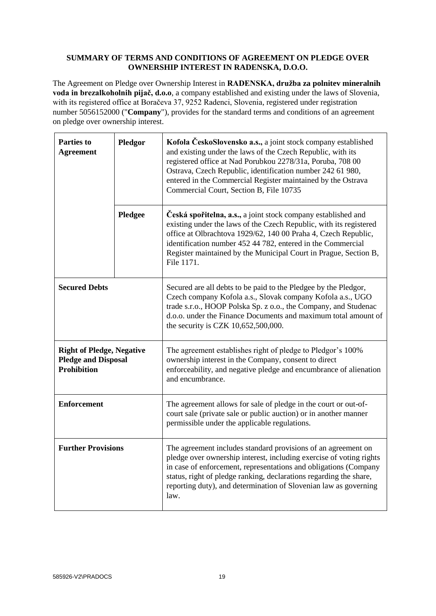# **SUMMARY OF TERMS AND CONDITIONS OF AGREEMENT ON PLEDGE OVER OWNERSHIP INTEREST IN RADENSKA, D.O.O.**

The Agreement on Pledge over Ownership Interest in **RADENSKA, družba za polnitev mineralnih voda in brezalkoholnih pijač, d.o.o**, a company established and existing under the laws of Slovenia, with its registered office at Boračeva 37, 9252 Radenci, Slovenia, registered under registration number 5056152000 ("**Company**"), provides for the standard terms and conditions of an agreement on pledge over ownership interest.

| <b>Parties to</b><br><b>Agreement</b>                                                | Pledgor | Kofola ČeskoSlovensko a.s., a joint stock company established<br>and existing under the laws of the Czech Republic, with its<br>registered office at Nad Porubkou 2278/31a, Poruba, 708 00<br>Ostrava, Czech Republic, identification number 242 61 980,<br>entered in the Commercial Register maintained by the Ostrava<br>Commercial Court, Section B, File 10735 |
|--------------------------------------------------------------------------------------|---------|---------------------------------------------------------------------------------------------------------------------------------------------------------------------------------------------------------------------------------------------------------------------------------------------------------------------------------------------------------------------|
|                                                                                      | Pledgee | Česká spořitelna, a.s., a joint stock company established and<br>existing under the laws of the Czech Republic, with its registered<br>office at Olbrachtova 1929/62, 140 00 Praha 4, Czech Republic,<br>identification number 452 44 782, entered in the Commercial<br>Register maintained by the Municipal Court in Prague, Section B,<br>File 1171.              |
| <b>Secured Debts</b>                                                                 |         | Secured are all debts to be paid to the Pledgee by the Pledgor,<br>Czech company Kofola a.s., Slovak company Kofola a.s., UGO<br>trade s.r.o., HOOP Polska Sp. z o.o., the Company, and Studenac<br>d.o.o. under the Finance Documents and maximum total amount of<br>the security is CZK 10,652,500,000.                                                           |
| <b>Right of Pledge, Negative</b><br><b>Pledge and Disposal</b><br><b>Prohibition</b> |         | The agreement establishes right of pledge to Pledgor's 100%<br>ownership interest in the Company, consent to direct<br>enforceability, and negative pledge and encumbrance of alienation<br>and encumbrance.                                                                                                                                                        |
| <b>Enforcement</b>                                                                   |         | The agreement allows for sale of pledge in the court or out-of-<br>court sale (private sale or public auction) or in another manner<br>permissible under the applicable regulations.                                                                                                                                                                                |
| <b>Further Provisions</b>                                                            |         | The agreement includes standard provisions of an agreement on<br>pledge over ownership interest, including exercise of voting rights<br>in case of enforcement, representations and obligations (Company<br>status, right of pledge ranking, declarations regarding the share,<br>reporting duty), and determination of Slovenian law as governing<br>law.          |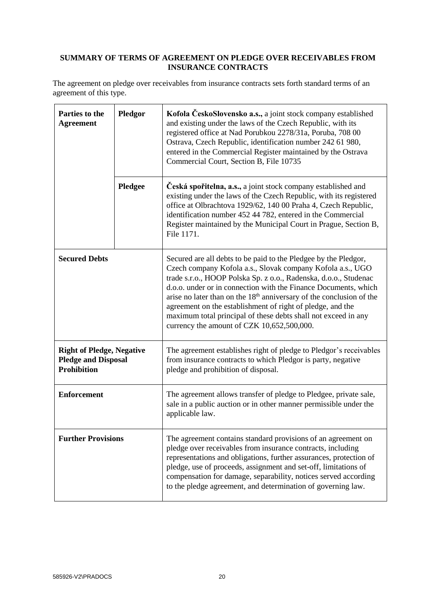# **SUMMARY OF TERMS OF AGREEMENT ON PLEDGE OVER RECEIVABLES FROM INSURANCE CONTRACTS**

The agreement on pledge over receivables from insurance contracts sets forth standard terms of an agreement of this type.

| Parties to the<br><b>Agreement</b>                                                   | Pledgor | Kofola ČeskoSlovensko a.s., a joint stock company established<br>and existing under the laws of the Czech Republic, with its<br>registered office at Nad Porubkou 2278/31a, Poruba, 708 00<br>Ostrava, Czech Republic, identification number 242 61 980,<br>entered in the Commercial Register maintained by the Ostrava<br>Commercial Court, Section B, File 10735                                                                                                                                                                    |
|--------------------------------------------------------------------------------------|---------|----------------------------------------------------------------------------------------------------------------------------------------------------------------------------------------------------------------------------------------------------------------------------------------------------------------------------------------------------------------------------------------------------------------------------------------------------------------------------------------------------------------------------------------|
|                                                                                      | Pledgee | Česká spořitelna, a.s., a joint stock company established and<br>existing under the laws of the Czech Republic, with its registered<br>office at Olbrachtova 1929/62, 140 00 Praha 4, Czech Republic,<br>identification number 452 44 782, entered in the Commercial<br>Register maintained by the Municipal Court in Prague, Section B,<br>File 1171.                                                                                                                                                                                 |
| <b>Secured Debts</b>                                                                 |         | Secured are all debts to be paid to the Pledgee by the Pledgor,<br>Czech company Kofola a.s., Slovak company Kofola a.s., UGO<br>trade s.r.o., HOOP Polska Sp. z o.o., Radenska, d.o.o., Studenac<br>d.o.o. under or in connection with the Finance Documents, which<br>arise no later than on the 18 <sup>th</sup> anniversary of the conclusion of the<br>agreement on the establishment of right of pledge, and the<br>maximum total principal of these debts shall not exceed in any<br>currency the amount of CZK 10,652,500,000. |
| <b>Right of Pledge, Negative</b><br><b>Pledge and Disposal</b><br><b>Prohibition</b> |         | The agreement establishes right of pledge to Pledgor's receivables<br>from insurance contracts to which Pledgor is party, negative<br>pledge and prohibition of disposal.                                                                                                                                                                                                                                                                                                                                                              |
| <b>Enforcement</b>                                                                   |         | The agreement allows transfer of pledge to Pledgee, private sale,<br>sale in a public auction or in other manner permissible under the<br>applicable law.                                                                                                                                                                                                                                                                                                                                                                              |
| <b>Further Provisions</b>                                                            |         | The agreement contains standard provisions of an agreement on<br>pledge over receivables from insurance contracts, including<br>representations and obligations, further assurances, protection of<br>pledge, use of proceeds, assignment and set-off, limitations of<br>compensation for damage, separability, notices served according<br>to the pledge agreement, and determination of governing law.                                                                                                                               |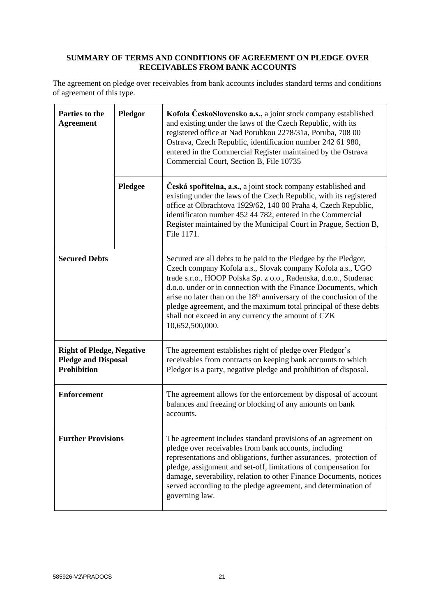# **SUMMARY OF TERMS AND CONDITIONS OF AGREEMENT ON PLEDGE OVER RECEIVABLES FROM BANK ACCOUNTS**

The agreement on pledge over receivables from bank accounts includes standard terms and conditions of agreement of this type.

| Parties to the<br><b>Agreement</b>                                                   | Pledgor | Kofola ČeskoSlovensko a.s., a joint stock company established<br>and existing under the laws of the Czech Republic, with its<br>registered office at Nad Porubkou 2278/31a, Poruba, 708 00<br>Ostrava, Czech Republic, identification number 242 61 980,<br>entered in the Commercial Register maintained by the Ostrava<br>Commercial Court, Section B, File 10735                                                                                                                                   |
|--------------------------------------------------------------------------------------|---------|-------------------------------------------------------------------------------------------------------------------------------------------------------------------------------------------------------------------------------------------------------------------------------------------------------------------------------------------------------------------------------------------------------------------------------------------------------------------------------------------------------|
|                                                                                      | Pledgee | Česká spořitelna, a.s., a joint stock company established and<br>existing under the laws of the Czech Republic, with its registered<br>office at Olbrachtova 1929/62, 140 00 Praha 4, Czech Republic,<br>identificaton number 452 44 782, entered in the Commercial<br>Register maintained by the Municipal Court in Prague, Section B,<br>File 1171.                                                                                                                                                 |
| <b>Secured Debts</b>                                                                 |         | Secured are all debts to be paid to the Pledgee by the Pledgor,<br>Czech company Kofola a.s., Slovak company Kofola a.s., UGO<br>trade s.r.o., HOOP Polska Sp. z o.o., Radenska, d.o.o., Studenac<br>d.o.o. under or in connection with the Finance Documents, which<br>arise no later than on the 18 <sup>th</sup> anniversary of the conclusion of the<br>pledge agreement, and the maximum total principal of these debts<br>shall not exceed in any currency the amount of CZK<br>10,652,500,000. |
| <b>Right of Pledge, Negative</b><br><b>Pledge and Disposal</b><br><b>Prohibition</b> |         | The agreement establishes right of pledge over Pledgor's<br>receivables from contracts on keeping bank accounts to which<br>Pledgor is a party, negative pledge and prohibition of disposal.                                                                                                                                                                                                                                                                                                          |
| <b>Enforcement</b>                                                                   |         | The agreement allows for the enforcement by disposal of account<br>balances and freezing or blocking of any amounts on bank<br>accounts.                                                                                                                                                                                                                                                                                                                                                              |
| <b>Further Provisions</b>                                                            |         | The agreement includes standard provisions of an agreement on<br>pledge over receivables from bank accounts, including<br>representations and obligations, further assurances, protection of<br>pledge, assignment and set-off, limitations of compensation for<br>damage, severability, relation to other Finance Documents, notices<br>served according to the pledge agreement, and determination of<br>governing law.                                                                             |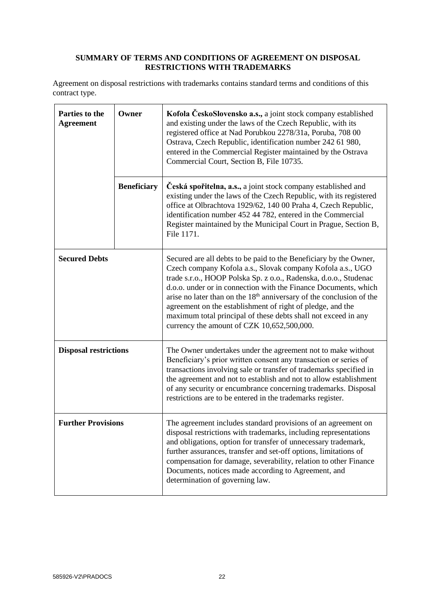# **SUMMARY OF TERMS AND CONDITIONS OF AGREEMENT ON DISPOSAL RESTRICTIONS WITH TRADEMARKS**

Agreement on disposal restrictions with trademarks contains standard terms and conditions of this contract type.

| Parties to the<br><b>Agreement</b> | Owner              | Kofola ČeskoSlovensko a.s., a joint stock company established<br>and existing under the laws of the Czech Republic, with its<br>registered office at Nad Porubkou 2278/31a, Poruba, 708 00<br>Ostrava, Czech Republic, identification number 242 61 980,<br>entered in the Commercial Register maintained by the Ostrava<br>Commercial Court, Section B, File 10735.                                                                                                                                                                     |
|------------------------------------|--------------------|------------------------------------------------------------------------------------------------------------------------------------------------------------------------------------------------------------------------------------------------------------------------------------------------------------------------------------------------------------------------------------------------------------------------------------------------------------------------------------------------------------------------------------------|
|                                    | <b>Beneficiary</b> | Česká spořitelna, a.s., a joint stock company established and<br>existing under the laws of the Czech Republic, with its registered<br>office at Olbrachtova 1929/62, 140 00 Praha 4, Czech Republic,<br>identification number 452 44 782, entered in the Commercial<br>Register maintained by the Municipal Court in Prague, Section B,<br>File 1171.                                                                                                                                                                                   |
| <b>Secured Debts</b>               |                    | Secured are all debts to be paid to the Beneficiary by the Owner,<br>Czech company Kofola a.s., Slovak company Kofola a.s., UGO<br>trade s.r.o., HOOP Polska Sp. z o.o., Radenska, d.o.o., Studenac<br>d.o.o. under or in connection with the Finance Documents, which<br>arise no later than on the 18 <sup>th</sup> anniversary of the conclusion of the<br>agreement on the establishment of right of pledge, and the<br>maximum total principal of these debts shall not exceed in any<br>currency the amount of CZK 10,652,500,000. |
| <b>Disposal restrictions</b>       |                    | The Owner undertakes under the agreement not to make without<br>Beneficiary's prior written consent any transaction or series of<br>transactions involving sale or transfer of trademarks specified in<br>the agreement and not to establish and not to allow establishment<br>of any security or encumbrance concerning trademarks. Disposal<br>restrictions are to be entered in the trademarks register.                                                                                                                              |
| <b>Further Provisions</b>          |                    | The agreement includes standard provisions of an agreement on<br>disposal restrictions with trademarks, including representations<br>and obligations, option for transfer of unnecessary trademark,<br>further assurances, transfer and set-off options, limitations of<br>compensation for damage, severability, relation to other Finance<br>Documents, notices made according to Agreement, and<br>determination of governing law.                                                                                                    |